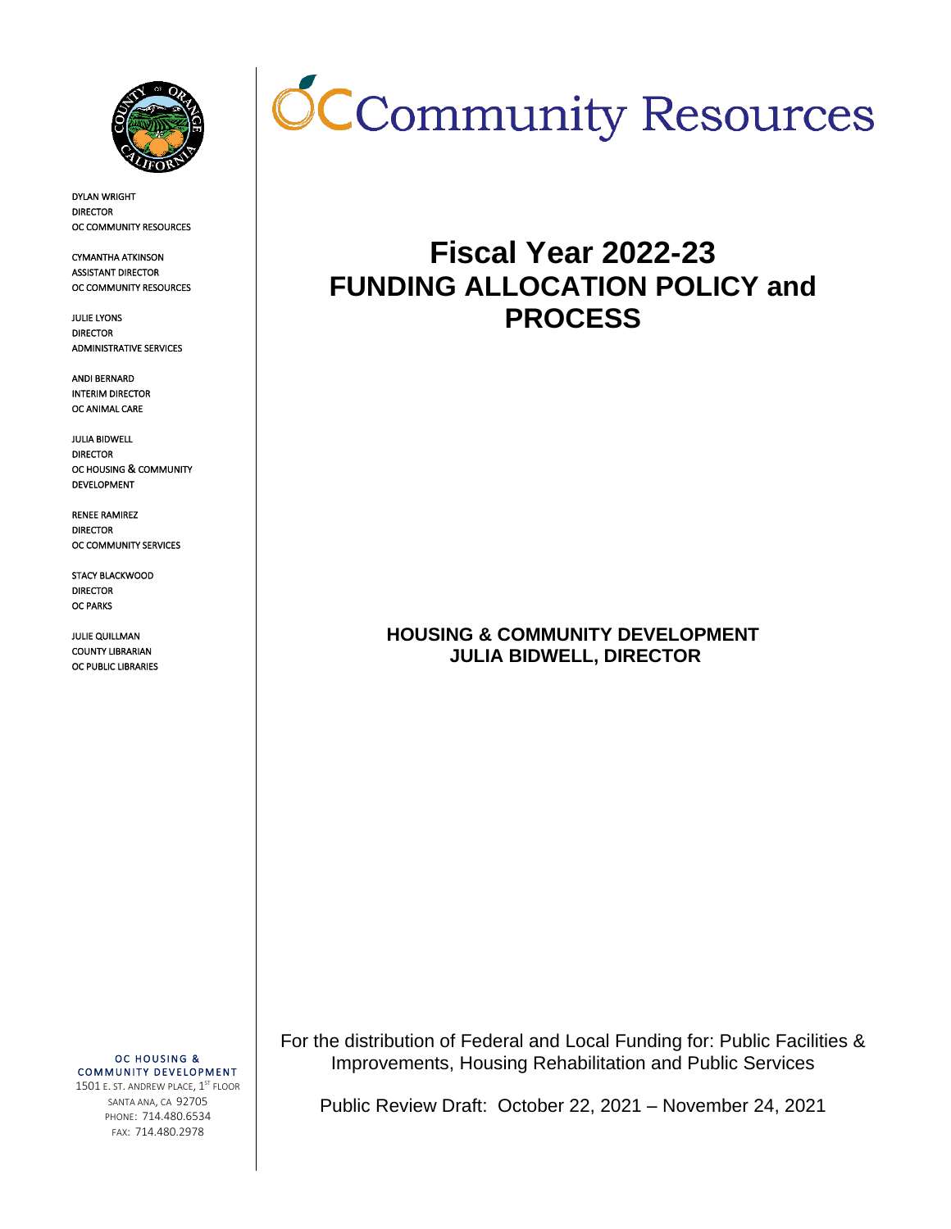

DYLAN WRIGHT DIRECTOR OC COMMUNITY RESOURCES

CYMANTHA ATKINSON ASSISTANT DIRECTOR OC COMMUNITY RESOURCES

JULIE LYONS DIRECTOR ADMINISTRATIVE SERVICES

ANDI BERNARD INTERIM DIRECTOR OC ANIMAL CARE

JULIA BIDWELL DIRECTOR OC HOUSING & COMMUNITY DEVELOPMENT

RENEE RAMIREZ DIRECTOR OC COMMUNITY SERVICES

STACY BLACKWOOD DIRECTOR OC PARKS

JULIE QUILLMAN COUNTY LIBRARIAN OC PUBLIC LIBRARIES



# **Fiscal Year 2022-23 FUNDING ALLOCATION POLICY and PROCESS**

**HOUSING & COMMUNITY DEVELOPMENT JULIA BIDWELL, DIRECTOR** 

OC HOUSING & COMMUNITY DEVELOPMENT

1501 E. ST. ANDREW PLACE, 1<sup>ST</sup> FLOOR SANTA ANA, CA 92705 PHONE: 714.480.6534 FAX: 714.480.2978

For the distribution of Federal and Local Funding for: Public Facilities & Improvements, Housing Rehabilitation and Public Services

Public Review Draft: October 22, 2021 – November 24, 2021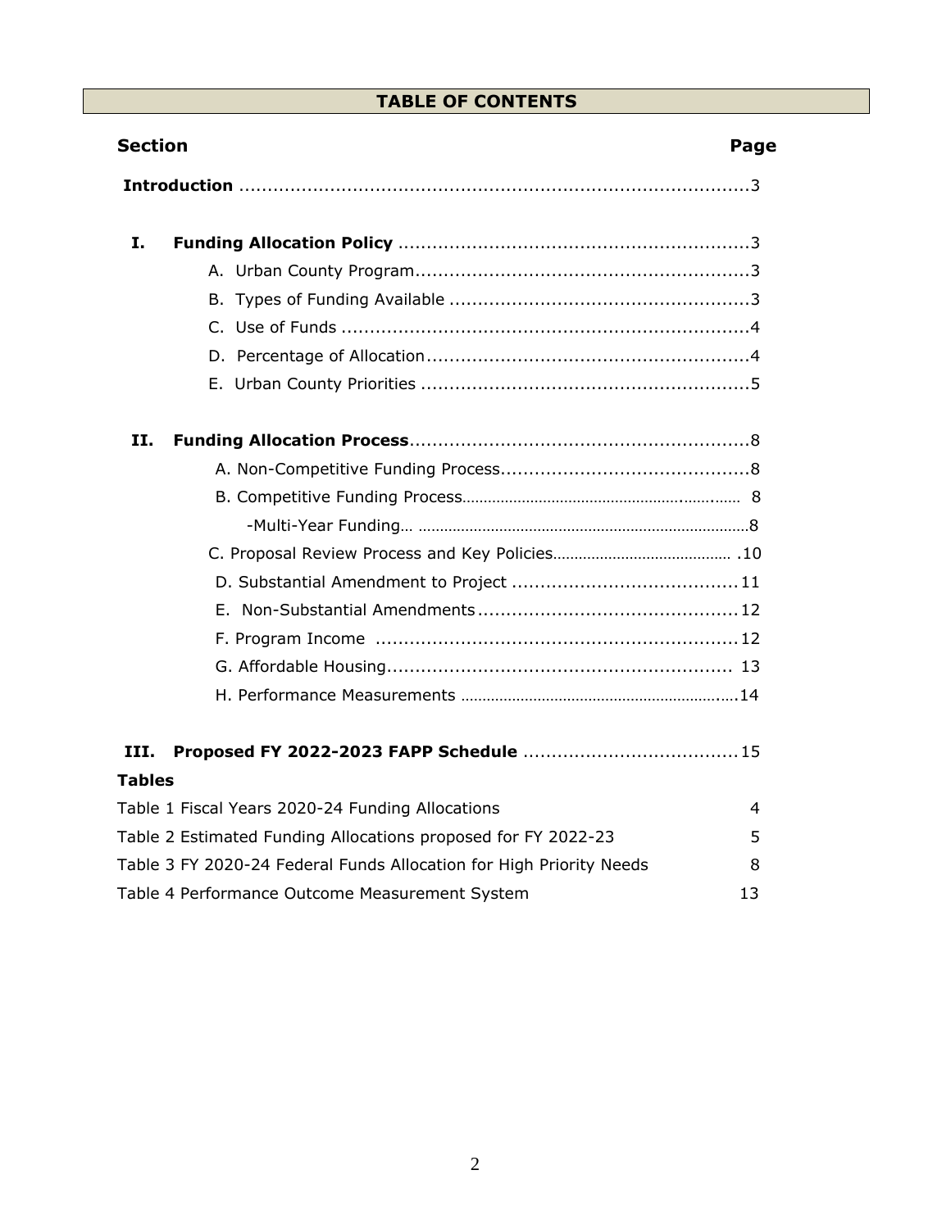# **TABLE OF CONTENTS**

| <b>Section</b>                                                      | Page |
|---------------------------------------------------------------------|------|
|                                                                     |      |
| I.                                                                  |      |
|                                                                     |      |
|                                                                     |      |
|                                                                     |      |
|                                                                     |      |
|                                                                     |      |
| Н.                                                                  |      |
|                                                                     |      |
|                                                                     |      |
|                                                                     |      |
|                                                                     |      |
|                                                                     |      |
|                                                                     |      |
|                                                                     |      |
|                                                                     |      |
|                                                                     |      |
| III.                                                                |      |
| <b>Tables</b>                                                       |      |
| Table 1 Fiscal Years 2020-24 Funding Allocations                    | 4    |
| Table 2 Estimated Funding Allocations proposed for FY 2022-23       | 5    |
| Table 3 FY 2020-24 Federal Funds Allocation for High Priority Needs | 8    |
| Table 4 Performance Outcome Measurement System                      | 13   |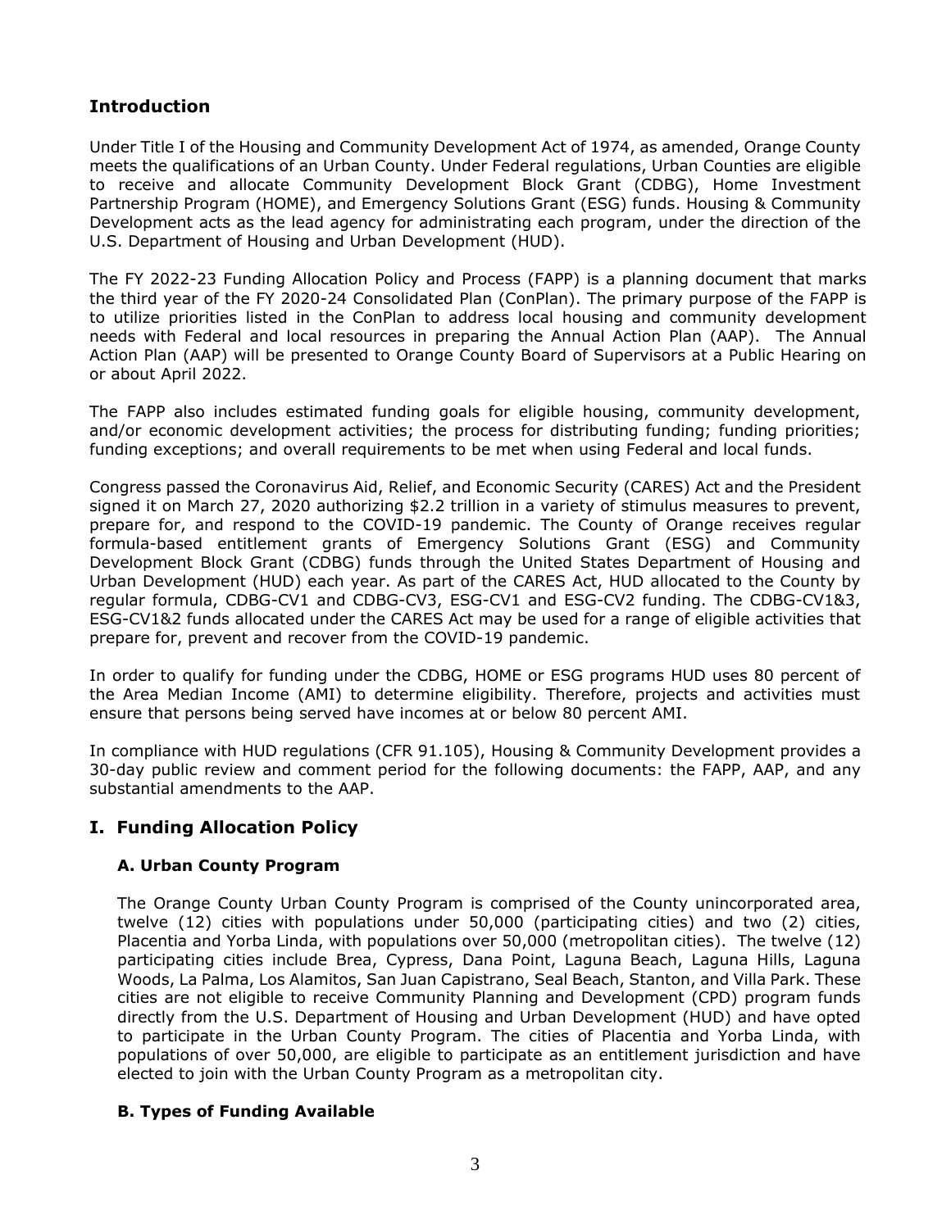# **Introduction**

Under Title I of the Housing and Community Development Act of 1974, as amended, Orange County meets the qualifications of an Urban County. Under Federal regulations, Urban Counties are eligible to receive and allocate Community Development Block Grant (CDBG), Home Investment Partnership Program (HOME), and Emergency Solutions Grant (ESG) funds. Housing & Community Development acts as the lead agency for administrating each program, under the direction of the U.S. Department of Housing and Urban Development (HUD).

The FY 2022-23 Funding Allocation Policy and Process (FAPP) is a planning document that marks the third year of the FY 2020-24 Consolidated Plan (ConPlan). The primary purpose of the FAPP is to utilize priorities listed in the ConPlan to address local housing and community development needs with Federal and local resources in preparing the Annual Action Plan (AAP). The Annual Action Plan (AAP) will be presented to Orange County Board of Supervisors at a Public Hearing on or about April 2022.

The FAPP also includes estimated funding goals for eligible housing, community development, and/or economic development activities; the process for distributing funding; funding priorities; funding exceptions; and overall requirements to be met when using Federal and local funds.

Congress passed the Coronavirus Aid, Relief, and Economic Security (CARES) Act and the President signed it on March 27, 2020 authorizing \$2.2 trillion in a variety of stimulus measures to prevent, prepare for, and respond to the COVID-19 pandemic. The County of Orange receives regular formula-based entitlement grants of Emergency Solutions Grant (ESG) and Community Development Block Grant (CDBG) funds through the United States Department of Housing and Urban Development (HUD) each year. As part of the CARES Act, HUD allocated to the County by regular formula, CDBG-CV1 and CDBG-CV3, ESG-CV1 and ESG-CV2 funding. The CDBG-CV1&3, ESG-CV1&2 funds allocated under the CARES Act may be used for a range of eligible activities that prepare for, prevent and recover from the COVID-19 pandemic.

In order to qualify for funding under the CDBG, HOME or ESG programs HUD uses 80 percent of the Area Median Income (AMI) to determine eligibility. Therefore, projects and activities must ensure that persons being served have incomes at or below 80 percent AMI.

In compliance with HUD regulations (CFR 91.105), Housing & Community Development provides a 30-day public review and comment period for the following documents: the FAPP, AAP, and any substantial amendments to the AAP.

# **I. Funding Allocation Policy**

# **A. Urban County Program**

The Orange County Urban County Program is comprised of the County unincorporated area, twelve (12) cities with populations under 50,000 (participating cities) and two (2) cities, Placentia and Yorba Linda, with populations over 50,000 (metropolitan cities). The twelve (12) participating cities include Brea, Cypress, Dana Point, Laguna Beach, Laguna Hills, Laguna Woods, La Palma, Los Alamitos, San Juan Capistrano, Seal Beach, Stanton, and Villa Park. These cities are not eligible to receive Community Planning and Development (CPD) program funds directly from the U.S. Department of Housing and Urban Development (HUD) and have opted to participate in the Urban County Program. The cities of Placentia and Yorba Linda, with populations of over 50,000, are eligible to participate as an entitlement jurisdiction and have elected to join with the Urban County Program as a metropolitan city.

#### **B. Types of Funding Available**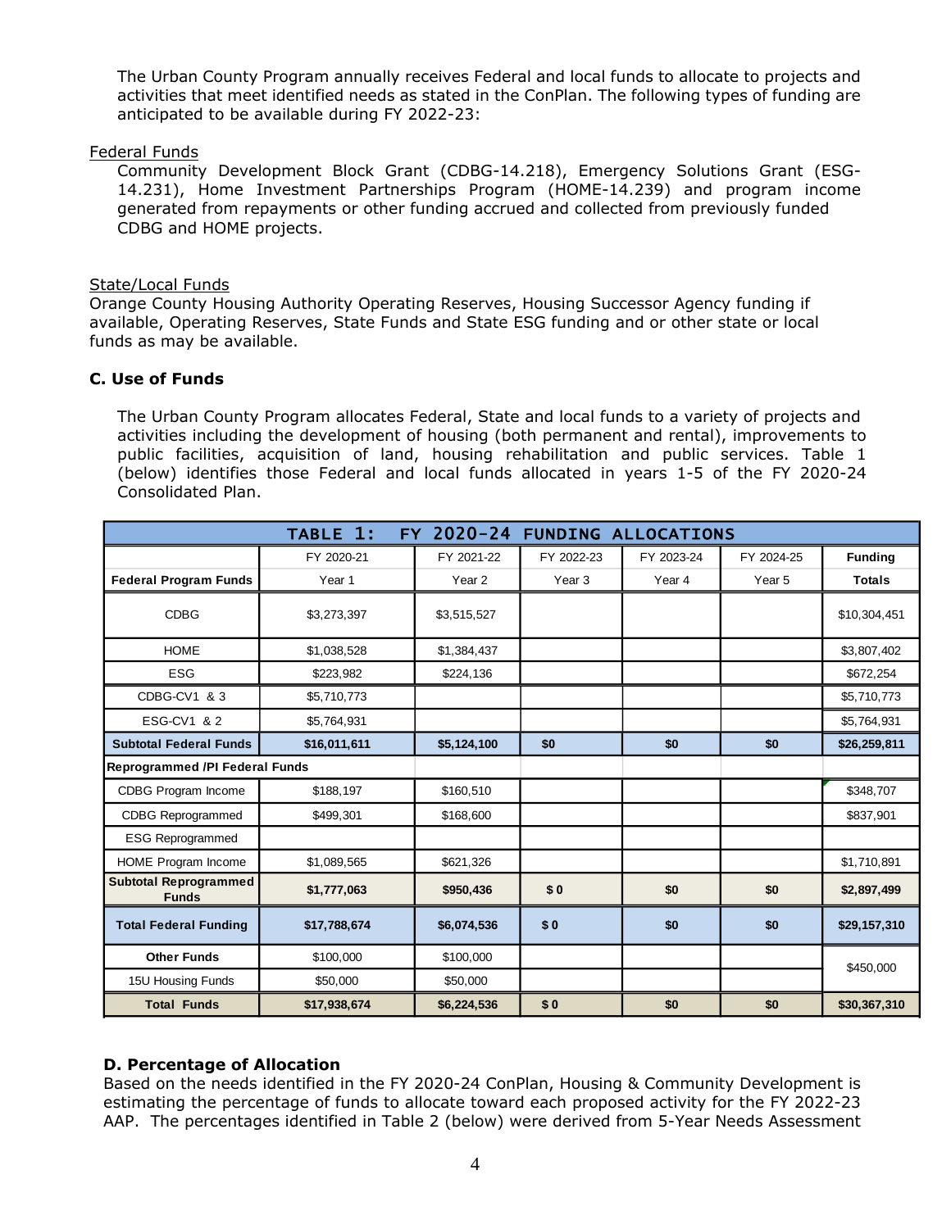The Urban County Program annually receives Federal and local funds to allocate to projects and activities that meet identified needs as stated in the ConPlan. The following types of funding are anticipated to be available during FY 2022-23:

#### Federal Funds

Community Development Block Grant (CDBG-14.218), Emergency Solutions Grant (ESG-14.231), Home Investment Partnerships Program (HOME-14.239) and program income generated from repayments or other funding accrued and collected from previously funded CDBG and HOME projects.

## State/Local Funds

Orange County Housing Authority Operating Reserves, Housing Successor Agency funding if available, Operating Reserves, State Funds and State ESG funding and or other state or local funds as may be available.

## **C. Use of Funds**

The Urban County Program allocates Federal, State and local funds to a variety of projects and activities including the development of housing (both permanent and rental), improvements to public facilities, acquisition of land, housing rehabilitation and public services. Table 1 (below) identifies those Federal and local funds allocated in years 1-5 of the FY 2020-24 Consolidated Plan.

|                                              | TABLE 1:     | $2020 - 24$<br>FY. | <b>FUNDING ALLOCATIONS</b> |            |            |                |
|----------------------------------------------|--------------|--------------------|----------------------------|------------|------------|----------------|
|                                              | FY 2020-21   | FY 2021-22         | FY 2022-23                 | FY 2023-24 | FY 2024-25 | <b>Funding</b> |
| <b>Federal Program Funds</b>                 | Year 1       | Year 2             | Year <sub>3</sub>          | Year 4     | Year 5     | <b>Totals</b>  |
| <b>CDBG</b>                                  | \$3,273,397  | \$3,515,527        |                            |            |            | \$10,304,451   |
| <b>HOME</b>                                  | \$1,038,528  | \$1,384,437        |                            |            |            | \$3,807,402    |
| <b>ESG</b>                                   | \$223,982    | \$224,136          |                            |            |            | \$672,254      |
| CDBG-CV1 & 3                                 | \$5,710,773  |                    |                            |            |            | \$5,710,773    |
| ESG-CV1 & 2                                  | \$5,764,931  |                    |                            |            |            | \$5,764,931    |
| <b>Subtotal Federal Funds</b>                | \$16,011,611 | \$5,124,100        | \$0                        | \$0        | \$0        | \$26,259,811   |
| <b>Reprogrammed /PI Federal Funds</b>        |              |                    |                            |            |            |                |
| <b>CDBG Program Income</b>                   | \$188,197    | \$160,510          |                            |            |            | \$348,707      |
| <b>CDBG Reprogrammed</b>                     | \$499,301    | \$168,600          |                            |            |            | \$837,901      |
| <b>ESG Reprogrammed</b>                      |              |                    |                            |            |            |                |
| HOME Program Income                          | \$1,089,565  | \$621,326          |                            |            |            | \$1,710,891    |
| <b>Subtotal Reprogrammed</b><br><b>Funds</b> | \$1,777,063  | \$950,436          | \$0                        | \$0        | \$0        | \$2,897,499    |
| <b>Total Federal Funding</b>                 | \$17,788,674 | \$6,074,536        | \$0                        | \$0        | \$0        | \$29,157,310   |
| <b>Other Funds</b>                           | \$100,000    | \$100,000          |                            |            |            | \$450,000      |
| 15U Housing Funds                            | \$50,000     | \$50,000           |                            |            |            |                |
| <b>Total Funds</b>                           | \$17,938,674 | \$6,224,536        | \$0                        | \$0        | \$0        | \$30,367,310   |

# **D. Percentage of Allocation**

Based on the needs identified in the FY 2020-24 ConPlan, Housing & Community Development is estimating the percentage of funds to allocate toward each proposed activity for the FY 2022-23 AAP. The percentages identified in Table 2 (below) were derived from 5-Year Needs Assessment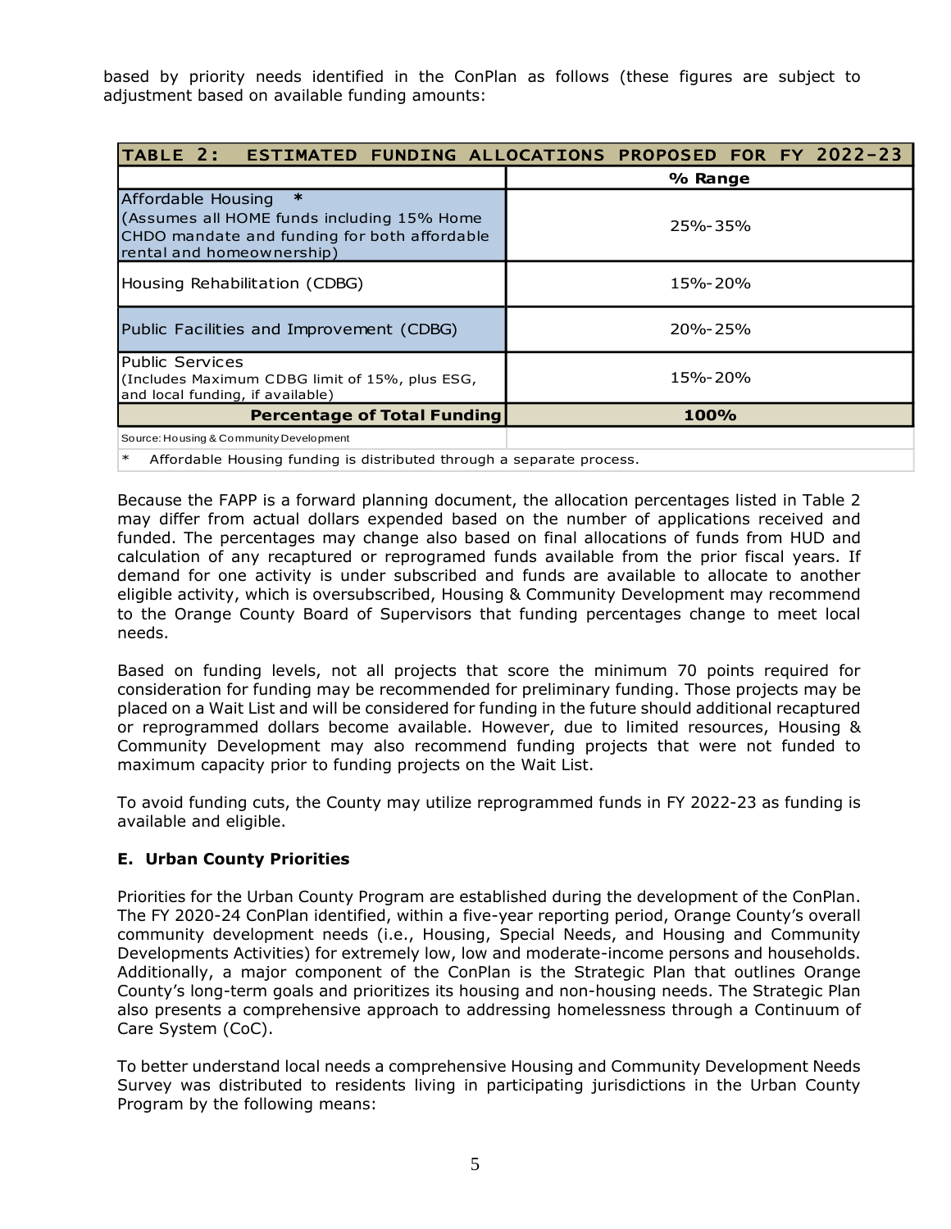based by priority needs identified in the ConPlan as follows (these figures are subject to adjustment based on available funding amounts:

| TABLE 2: ESTIMATED FUNDING ALLOCATIONS PROPOSED FOR FY 2022-23                                                                                          |             |  |  |
|---------------------------------------------------------------------------------------------------------------------------------------------------------|-------------|--|--|
|                                                                                                                                                         | % Range     |  |  |
| $\ast$<br>Affordable Housing<br>(Assumes all HOME funds including 15% Home<br>CHDO mandate and funding for both affordable<br>rental and homeownership) | 25%-35%     |  |  |
| Housing Rehabilitation (CDBG)                                                                                                                           | 15%-20%     |  |  |
| Public Facilities and Improvement (CDBG)                                                                                                                | $20% - 25%$ |  |  |
| <b>Public Services</b><br>(Includes Maximum CDBG limit of 15%, plus ESG,<br>and local funding, if available)                                            | 15%-20%     |  |  |
| <b>Percentage of Total Funding</b>                                                                                                                      | <b>100%</b> |  |  |
| Source: Housing & Community Development                                                                                                                 |             |  |  |
| Affordable Housing funding is distributed through a separate process.<br>∗                                                                              |             |  |  |

Because the FAPP is a forward planning document, the allocation percentages listed in Table 2 may differ from actual dollars expended based on the number of applications received and funded. The percentages may change also based on final allocations of funds from HUD and calculation of any recaptured or reprogramed funds available from the prior fiscal years. If demand for one activity is under subscribed and funds are available to allocate to another eligible activity, which is oversubscribed, Housing & Community Development may recommend to the Orange County Board of Supervisors that funding percentages change to meet local needs.

Based on funding levels, not all projects that score the minimum 70 points required for consideration for funding may be recommended for preliminary funding. Those projects may be placed on a Wait List and will be considered for funding in the future should additional recaptured or reprogrammed dollars become available. However, due to limited resources, Housing & Community Development may also recommend funding projects that were not funded to maximum capacity prior to funding projects on the Wait List.

To avoid funding cuts, the County may utilize reprogrammed funds in FY 2022-23 as funding is available and eligible.

# **E. Urban County Priorities**

Priorities for the Urban County Program are established during the development of the ConPlan. The FY 2020-24 ConPlan identified, within a five-year reporting period, Orange County's overall community development needs (i.e., Housing, Special Needs, and Housing and Community Developments Activities) for extremely low, low and moderate-income persons and households. Additionally, a major component of the ConPlan is the Strategic Plan that outlines Orange County's long-term goals and prioritizes its housing and non-housing needs. The Strategic Plan also presents a comprehensive approach to addressing homelessness through a Continuum of Care System (CoC).

To better understand local needs a comprehensive Housing and Community Development Needs Survey was distributed to residents living in participating jurisdictions in the Urban County Program by the following means: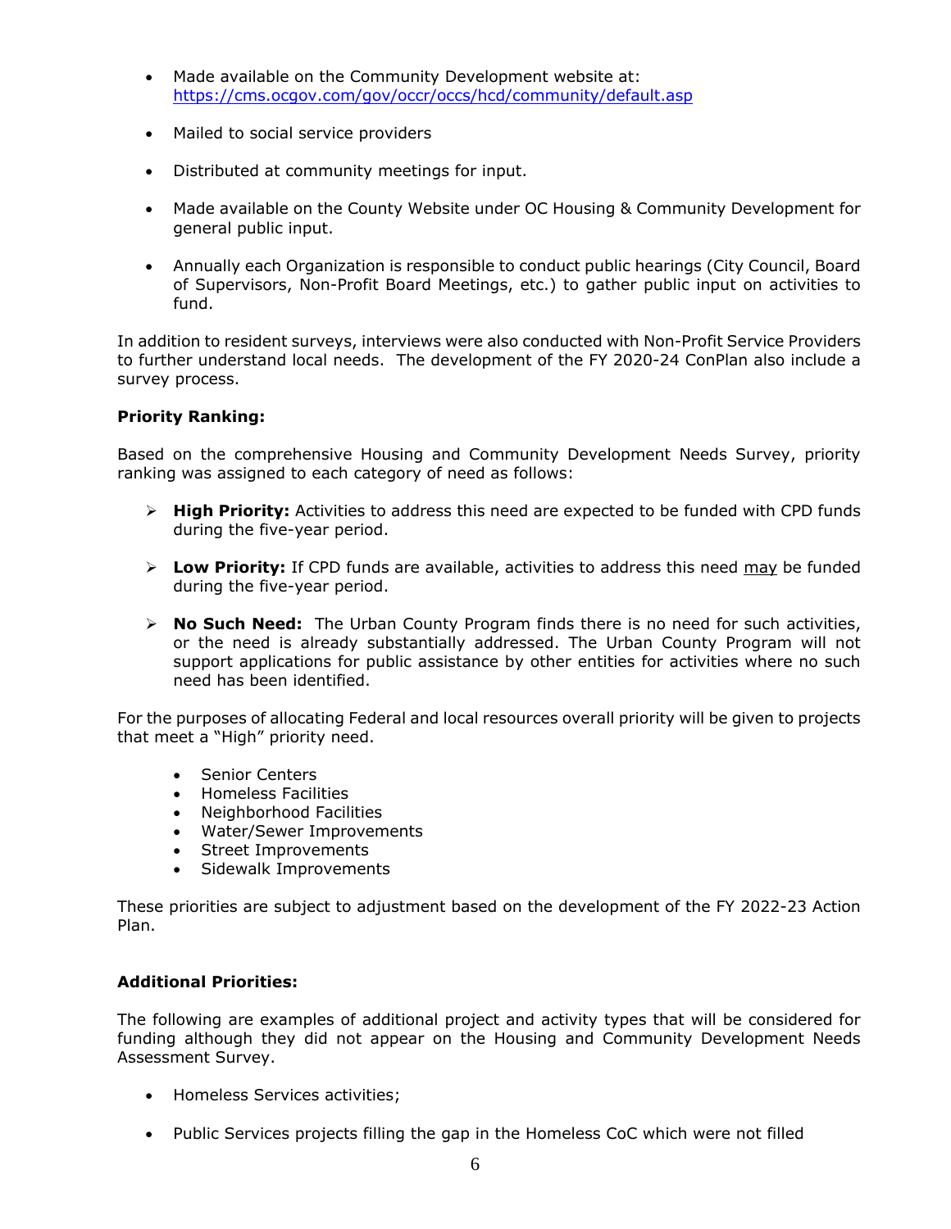- Made available on the Community Development website at: <https://cms.ocgov.com/gov/occr/occs/hcd/community/default.asp>
- Mailed to social service providers
- Distributed at community meetings for input.
- Made available on the County Website under OC Housing & Community Development for general public input.
- Annually each Organization is responsible to conduct public hearings (City Council, Board of Supervisors, Non-Profit Board Meetings, etc.) to gather public input on activities to fund.

In addition to resident surveys, interviews were also conducted with Non-Profit Service Providers to further understand local needs. The development of the FY 2020-24 ConPlan also include a survey process.

#### **Priority Ranking:**

Based on the comprehensive Housing and Community Development Needs Survey, priority ranking was assigned to each category of need as follows:

- ➢ **High Priority:** Activities to address this need are expected to be funded with CPD funds during the five-year period.
- ➢ **Low Priority:** If CPD funds are available, activities to address this need may be funded during the five-year period.
- ➢ **No Such Need:** The Urban County Program finds there is no need for such activities, or the need is already substantially addressed. The Urban County Program will not support applications for public assistance by other entities for activities where no such need has been identified.

For the purposes of allocating Federal and local resources overall priority will be given to projects that meet a "High" priority need.

- Senior Centers
- Homeless Facilities
- Neighborhood Facilities
- Water/Sewer Improvements
- Street Improvements
- Sidewalk Improvements

These priorities are subject to adjustment based on the development of the FY 2022-23 Action Plan.

#### **Additional Priorities:**

The following are examples of additional project and activity types that will be considered for funding although they did not appear on the Housing and Community Development Needs Assessment Survey.

- Homeless Services activities;
- Public Services projects filling the gap in the Homeless CoC which were not filled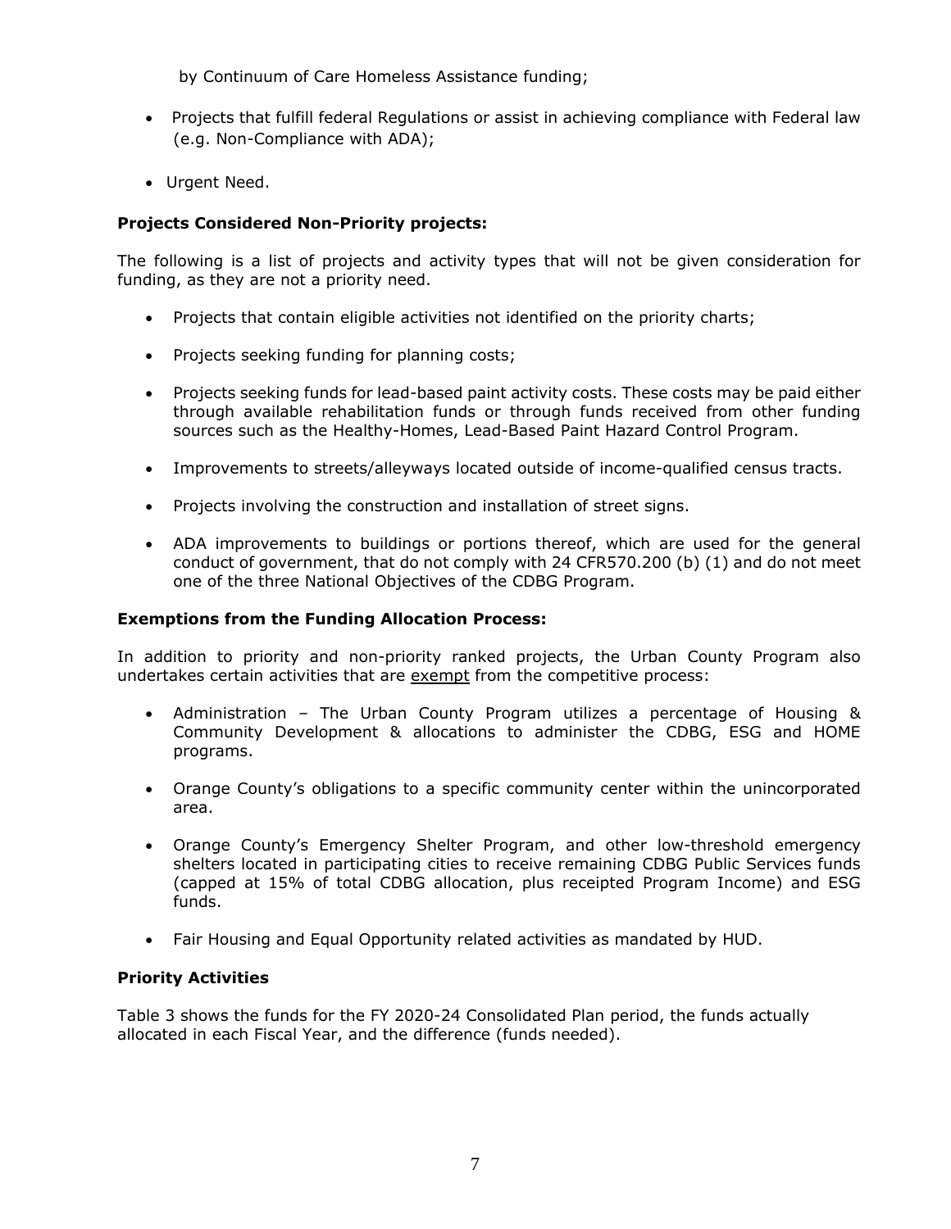by Continuum of Care Homeless Assistance funding;

- Projects that fulfill federal Regulations or assist in achieving compliance with Federal law (e.g. Non-Compliance with ADA);
- Urgent Need.

# **Projects Considered Non-Priority projects:**

The following is a list of projects and activity types that will not be given consideration for funding, as they are not a priority need.

- Projects that contain eligible activities not identified on the priority charts;
- Projects seeking funding for planning costs;
- Projects seeking funds for lead-based paint activity costs. These costs may be paid either through available rehabilitation funds or through funds received from other funding sources such as the Healthy-Homes, Lead-Based Paint Hazard Control Program.
- Improvements to streets/alleyways located outside of income-qualified census tracts.
- Projects involving the construction and installation of street signs.
- ADA improvements to buildings or portions thereof, which are used for the general conduct of government, that do not comply with 24 CFR570.200 (b) (1) and do not meet one of the three National Objectives of the CDBG Program.

# **Exemptions from the Funding Allocation Process:**

In addition to priority and non-priority ranked projects, the Urban County Program also undertakes certain activities that are exempt from the competitive process:

- Administration The Urban County Program utilizes a percentage of Housing & Community Development & allocations to administer the CDBG, ESG and HOME programs.
- Orange County's obligations to a specific community center within the unincorporated area.
- Orange County's Emergency Shelter Program, and other low-threshold emergency shelters located in participating cities to receive remaining CDBG Public Services funds (capped at 15% of total CDBG allocation, plus receipted Program Income) and ESG funds.
- Fair Housing and Equal Opportunity related activities as mandated by HUD.

# **Priority Activities**

Table 3 shows the funds for the FY 2020-24 Consolidated Plan period, the funds actually allocated in each Fiscal Year, and the difference (funds needed).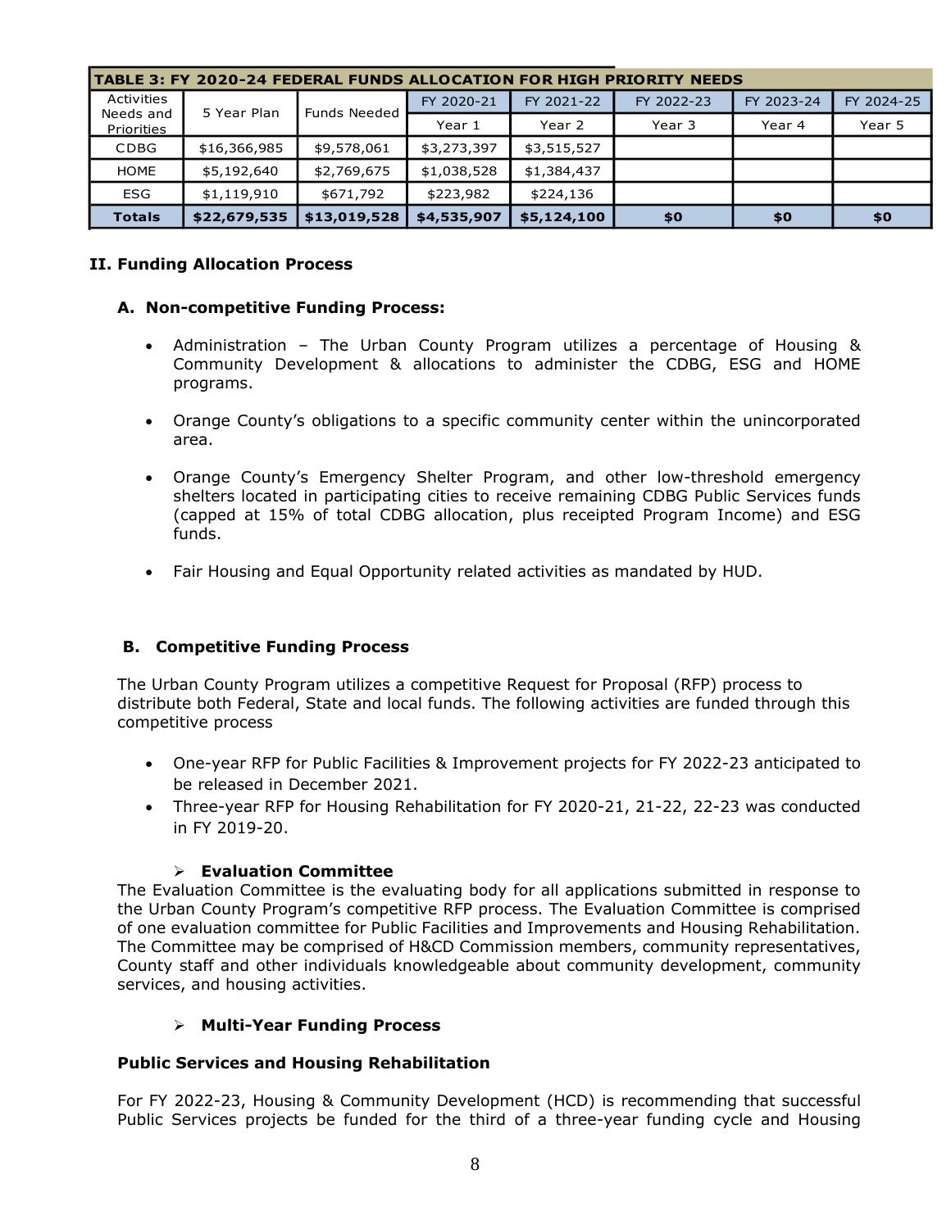| TABLE 3: FY 2020-24 FEDERAL FUNDS ALLOCATION FOR HIGH PRIORITY NEEDS |                                                 |              |             |             |            |            |            |
|----------------------------------------------------------------------|-------------------------------------------------|--------------|-------------|-------------|------------|------------|------------|
| Activities                                                           | 5 Year Plan<br><b>Funds Needed</b><br>Needs and |              | FY 2020-21  | FY 2021-22  | FY 2022-23 | FY 2023-24 | FY 2024-25 |
| Priorities                                                           |                                                 | Year 1       | Year 2      | Year 3      | Year 4     | Year 5     |            |
| <b>CDBG</b>                                                          | \$16,366,985                                    | \$9,578,061  | \$3,273,397 | \$3,515,527 |            |            |            |
| <b>HOME</b>                                                          | \$5,192,640                                     | \$2,769,675  | \$1,038,528 | \$1,384,437 |            |            |            |
| <b>ESG</b>                                                           | \$1,119,910                                     | \$671,792    | \$223,982   | \$224,136   |            |            |            |
| <b>Totals</b>                                                        | \$22,679,535                                    | \$13,019,528 | \$4,535,907 | \$5,124,100 | \$0        | \$0        | \$0        |

## **II. Funding Allocation Process**

## **A. Non-competitive Funding Process:**

- Administration The Urban County Program utilizes a percentage of Housing & Community Development & allocations to administer the CDBG, ESG and HOME programs.
- Orange County's obligations to a specific community center within the unincorporated area.
- Orange County's Emergency Shelter Program, and other low-threshold emergency shelters located in participating cities to receive remaining CDBG Public Services funds (capped at 15% of total CDBG allocation, plus receipted Program Income) and ESG funds.
- Fair Housing and Equal Opportunity related activities as mandated by HUD.

# **B. Competitive Funding Process**

The Urban County Program utilizes a competitive Request for Proposal (RFP) process to distribute both Federal, State and local funds. The following activities are funded through this competitive process

- One-year RFP for Public Facilities & Improvement projects for FY 2022-23 anticipated to be released in December 2021.
- Three-year RFP for Housing Rehabilitation for FY 2020-21, 21-22, 22-23 was conducted in FY 2019-20.

#### ➢ **Evaluation Committee**

The Evaluation Committee is the evaluating body for all applications submitted in response to the Urban County Program's competitive RFP process. The Evaluation Committee is comprised of one evaluation committee for Public Facilities and Improvements and Housing Rehabilitation. The Committee may be comprised of H&CD Commission members, community representatives, County staff and other individuals knowledgeable about community development, community services, and housing activities.

#### ➢ **Multi-Year Funding Process**

#### **Public Services and Housing Rehabilitation**

For FY 2022-23, Housing & Community Development (HCD) is recommending that successful Public Services projects be funded for the third of a three-year funding cycle and Housing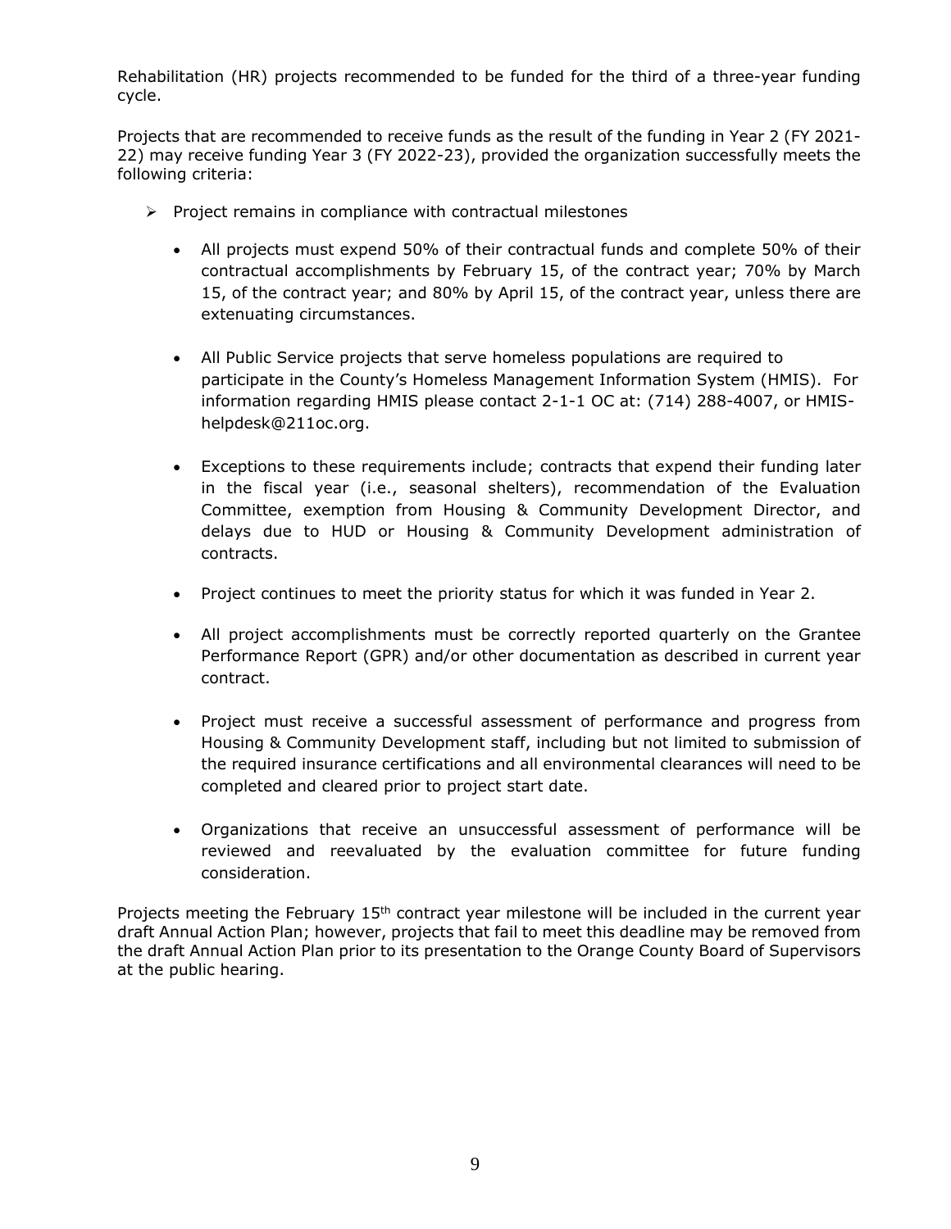Rehabilitation (HR) projects recommended to be funded for the third of a three-year funding cycle.

Projects that are recommended to receive funds as the result of the funding in Year 2 (FY 2021- 22) may receive funding Year 3 (FY 2022-23), provided the organization successfully meets the following criteria:

- ➢ Project remains in compliance with contractual milestones
	- All projects must expend 50% of their contractual funds and complete 50% of their contractual accomplishments by February 15, of the contract year; 70% by March 15, of the contract year; and 80% by April 15, of the contract year, unless there are extenuating circumstances.
	- All Public Service projects that serve homeless populations are required to participate in the County's Homeless Management Information System (HMIS). For information regarding HMIS please contact 2-1-1 OC at: (714) 288-4007, or HMIShelpdesk@211oc.org.
	- Exceptions to these requirements include; contracts that expend their funding later in the fiscal year (i.e., seasonal shelters), recommendation of the Evaluation Committee, exemption from Housing & Community Development Director, and delays due to HUD or Housing & Community Development administration of contracts.
	- Project continues to meet the priority status for which it was funded in Year 2.
	- All project accomplishments must be correctly reported quarterly on the Grantee Performance Report (GPR) and/or other documentation as described in current year contract.
	- Project must receive a successful assessment of performance and progress from Housing & Community Development staff, including but not limited to submission of the required insurance certifications and all environmental clearances will need to be completed and cleared prior to project start date.
	- Organizations that receive an unsuccessful assessment of performance will be reviewed and reevaluated by the evaluation committee for future funding consideration.

Projects meeting the February  $15<sup>th</sup>$  contract year milestone will be included in the current year draft Annual Action Plan; however, projects that fail to meet this deadline may be removed from the draft Annual Action Plan prior to its presentation to the Orange County Board of Supervisors at the public hearing.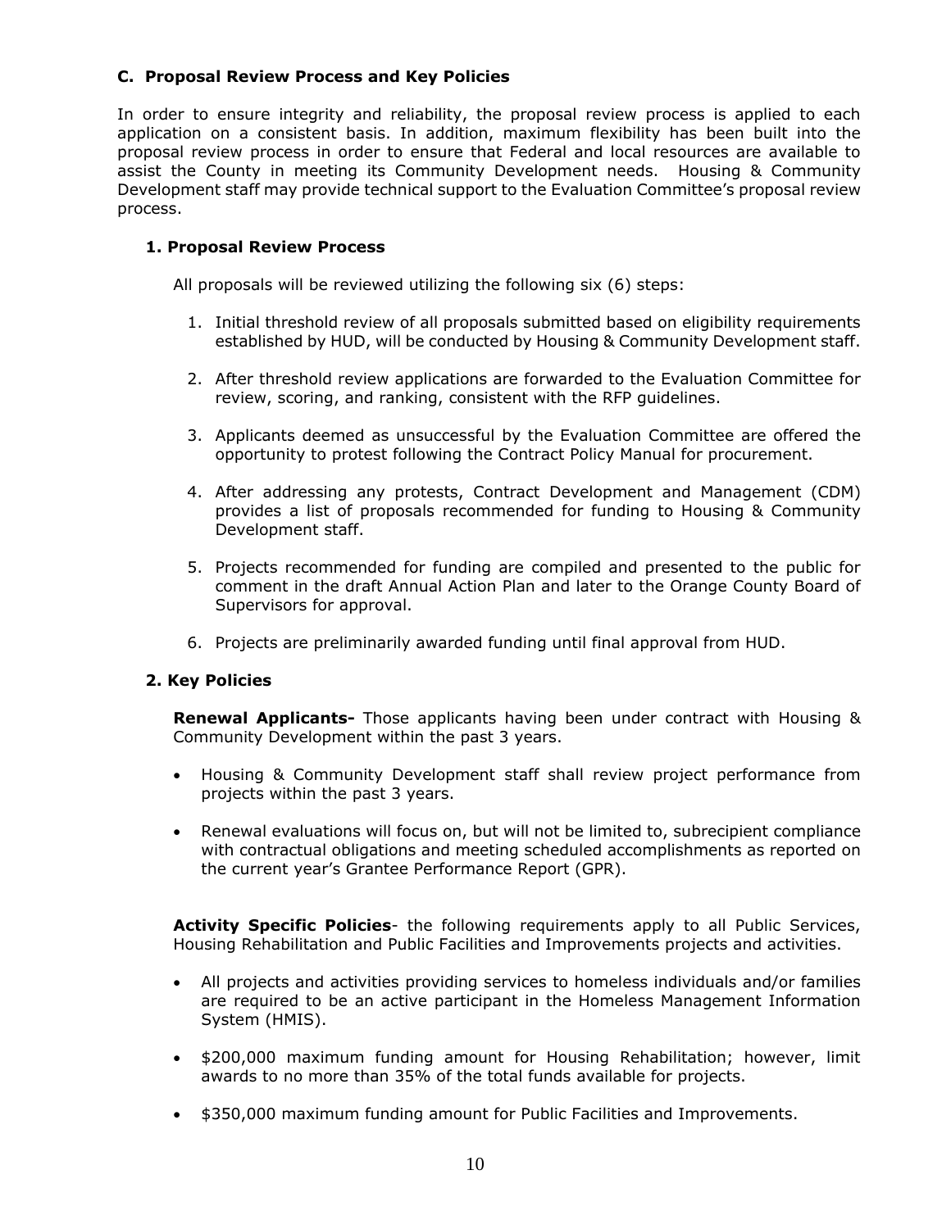# **C. Proposal Review Process and Key Policies**

In order to ensure integrity and reliability, the proposal review process is applied to each application on a consistent basis. In addition, maximum flexibility has been built into the proposal review process in order to ensure that Federal and local resources are available to assist the County in meeting its Community Development needs. Housing & Community Development staff may provide technical support to the Evaluation Committee's proposal review process.

# **1. Proposal Review Process**

All proposals will be reviewed utilizing the following six (6) steps:

- 1. Initial threshold review of all proposals submitted based on eligibility requirements established by HUD, will be conducted by Housing & Community Development staff.
- 2. After threshold review applications are forwarded to the Evaluation Committee for review, scoring, and ranking, consistent with the RFP guidelines.
- 3. Applicants deemed as unsuccessful by the Evaluation Committee are offered the opportunity to protest following the Contract Policy Manual for procurement.
- 4. After addressing any protests, Contract Development and Management (CDM) provides a list of proposals recommended for funding to Housing & Community Development staff.
- 5. Projects recommended for funding are compiled and presented to the public for comment in the draft Annual Action Plan and later to the Orange County Board of Supervisors for approval.
- 6. Projects are preliminarily awarded funding until final approval from HUD.

# **2. Key Policies**

**Renewal Applicants-** Those applicants having been under contract with Housing & Community Development within the past 3 years.

- Housing & Community Development staff shall review project performance from projects within the past 3 years.
- Renewal evaluations will focus on, but will not be limited to, subrecipient compliance with contractual obligations and meeting scheduled accomplishments as reported on the current year's Grantee Performance Report (GPR).

**Activity Specific Policies**- the following requirements apply to all Public Services, Housing Rehabilitation and Public Facilities and Improvements projects and activities.

- All projects and activities providing services to homeless individuals and/or families are required to be an active participant in the Homeless Management Information System (HMIS).
- \$200,000 maximum funding amount for Housing Rehabilitation; however, limit awards to no more than 35% of the total funds available for projects.
- \$350,000 maximum funding amount for Public Facilities and Improvements.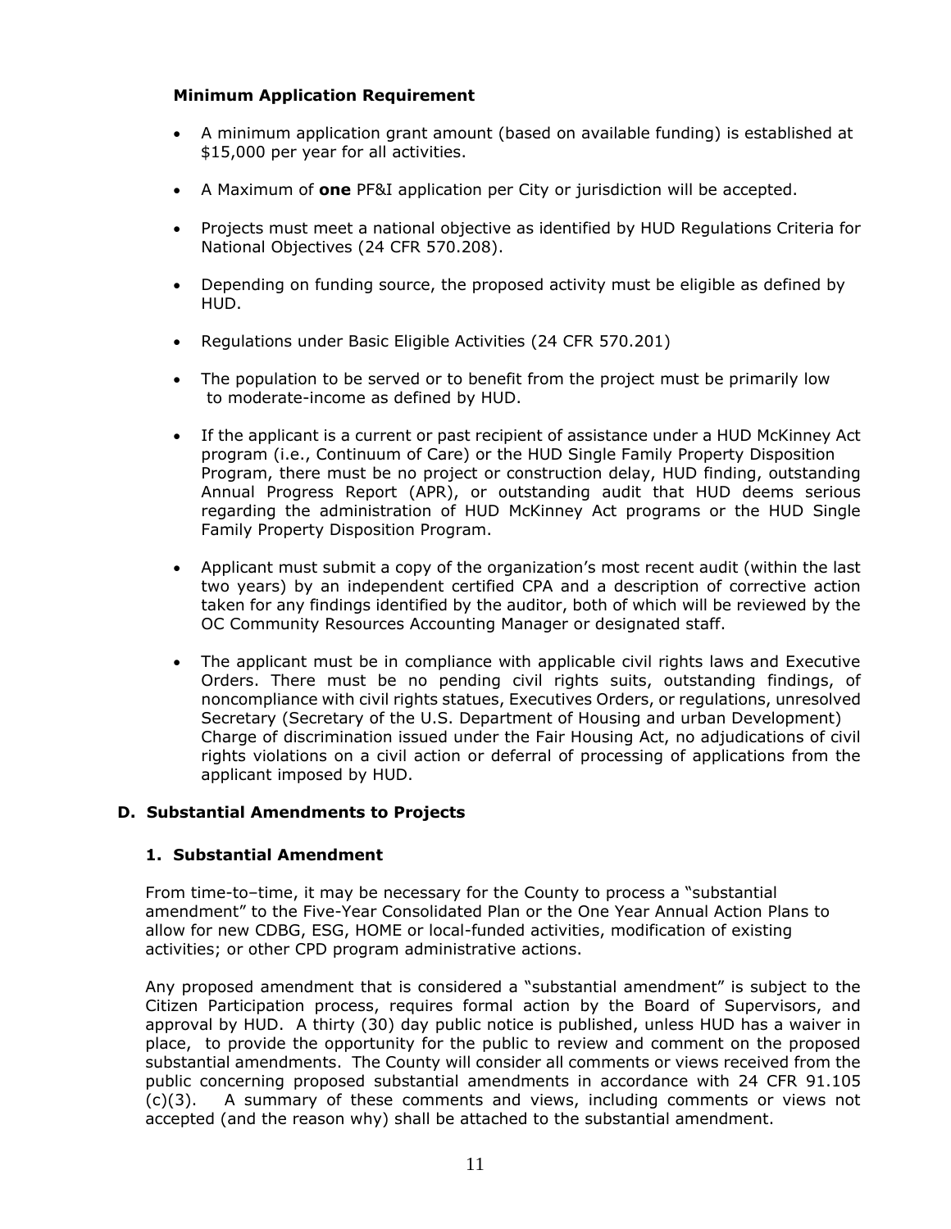# **Minimum Application Requirement**

- A minimum application grant amount (based on available funding) is established at \$15,000 per year for all activities.
- A Maximum of **one** PF&I application per City or jurisdiction will be accepted.
- Projects must meet a national objective as identified by HUD Regulations Criteria for National Objectives (24 CFR 570.208).
- Depending on funding source, the proposed activity must be eligible as defined by HUD.
- Regulations under Basic Eligible Activities (24 CFR 570.201)
- The population to be served or to benefit from the project must be primarily low to moderate-income as defined by HUD.
- If the applicant is a current or past recipient of assistance under a HUD McKinney Act program (i.e., Continuum of Care) or the HUD Single Family Property Disposition Program, there must be no project or construction delay, HUD finding, outstanding Annual Progress Report (APR), or outstanding audit that HUD deems serious regarding the administration of HUD McKinney Act programs or the HUD Single Family Property Disposition Program.
- Applicant must submit a copy of the organization's most recent audit (within the last two years) by an independent certified CPA and a description of corrective action taken for any findings identified by the auditor, both of which will be reviewed by the OC Community Resources Accounting Manager or designated staff.
- The applicant must be in compliance with applicable civil rights laws and Executive Orders. There must be no pending civil rights suits, outstanding findings, of noncompliance with civil rights statues, Executives Orders, or regulations, unresolved Secretary (Secretary of the U.S. Department of Housing and urban Development) Charge of discrimination issued under the Fair Housing Act, no adjudications of civil rights violations on a civil action or deferral of processing of applications from the applicant imposed by HUD.

#### **D. Substantial Amendments to Projects**

#### **1. Substantial Amendment**

From time-to–time, it may be necessary for the County to process a "substantial amendment" to the Five-Year Consolidated Plan or the One Year Annual Action Plans to allow for new CDBG, ESG, HOME or local-funded activities, modification of existing activities; or other CPD program administrative actions.

Any proposed amendment that is considered a "substantial amendment" is subject to the Citizen Participation process, requires formal action by the Board of Supervisors, and approval by HUD. A thirty (30) day public notice is published, unless HUD has a waiver in place, to provide the opportunity for the public to review and comment on the proposed substantial amendments. The County will consider all comments or views received from the public concerning proposed substantial amendments in accordance with 24 CFR 91.105 (c)(3). A summary of these comments and views, including comments or views not accepted (and the reason why) shall be attached to the substantial amendment.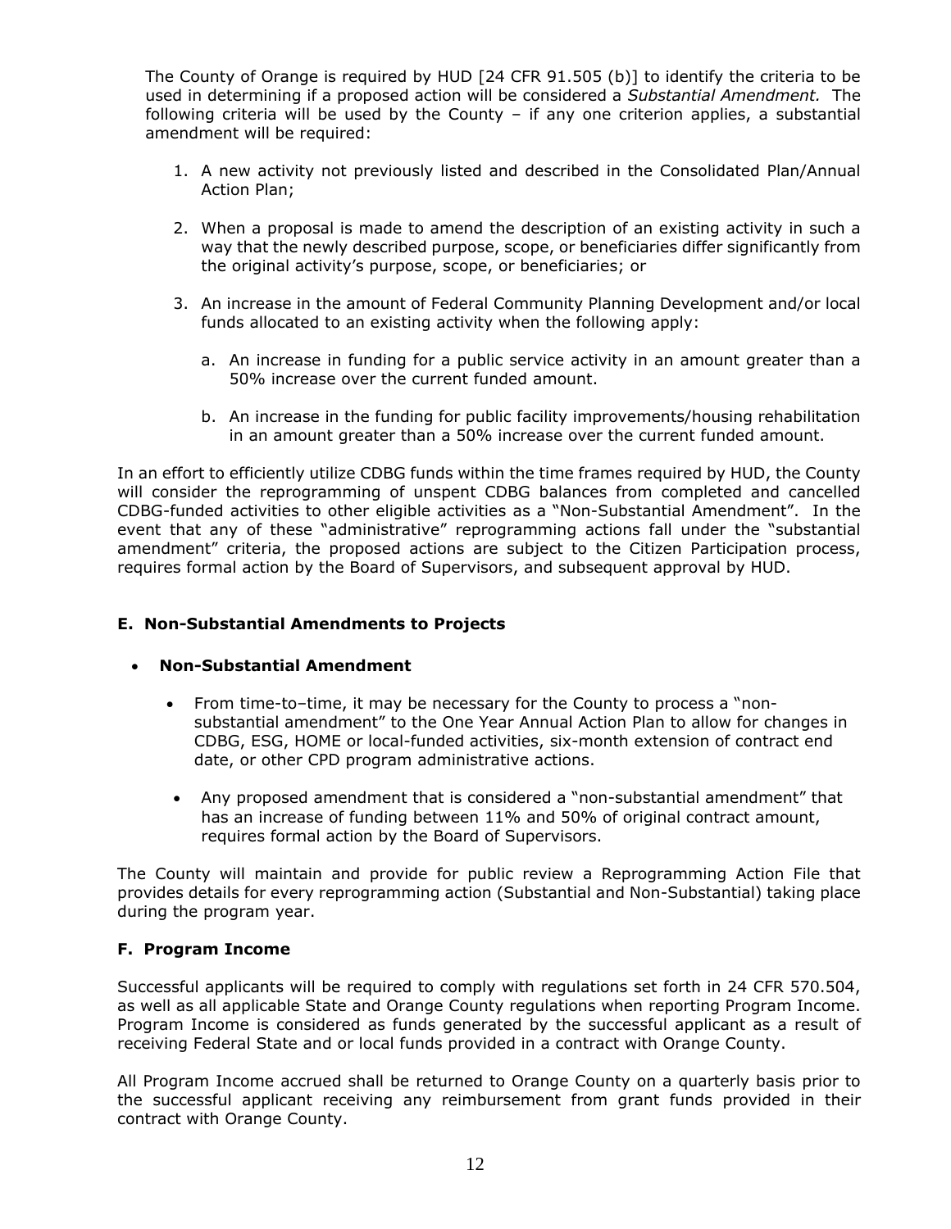The County of Orange is required by HUD [24 CFR 91.505 (b)] to identify the criteria to be used in determining if a proposed action will be considered a *Substantial Amendment.* The following criteria will be used by the County – if any one criterion applies, a substantial amendment will be required:

- 1. A new activity not previously listed and described in the Consolidated Plan/Annual Action Plan;
- 2. When a proposal is made to amend the description of an existing activity in such a way that the newly described purpose, scope, or beneficiaries differ significantly from the original activity's purpose, scope, or beneficiaries; or
- 3. An increase in the amount of Federal Community Planning Development and/or local funds allocated to an existing activity when the following apply:
	- a. An increase in funding for a public service activity in an amount greater than a 50% increase over the current funded amount.
	- b. An increase in the funding for public facility improvements/housing rehabilitation in an amount greater than a 50% increase over the current funded amount.

In an effort to efficiently utilize CDBG funds within the time frames required by HUD, the County will consider the reprogramming of unspent CDBG balances from completed and cancelled CDBG-funded activities to other eligible activities as a "Non-Substantial Amendment". In the event that any of these "administrative" reprogramming actions fall under the "substantial amendment" criteria, the proposed actions are subject to the Citizen Participation process, requires formal action by the Board of Supervisors, and subsequent approval by HUD.

# **E. Non-Substantial Amendments to Projects**

#### • **Non-Substantial Amendment**

- From time-to–time, it may be necessary for the County to process a "nonsubstantial amendment" to the One Year Annual Action Plan to allow for changes in CDBG, ESG, HOME or local-funded activities, six-month extension of contract end date, or other CPD program administrative actions.
- Any proposed amendment that is considered a "non-substantial amendment" that has an increase of funding between 11% and 50% of original contract amount, requires formal action by the Board of Supervisors.

The County will maintain and provide for public review a Reprogramming Action File that provides details for every reprogramming action (Substantial and Non-Substantial) taking place during the program year.

#### **F. Program Income**

Successful applicants will be required to comply with regulations set forth in 24 CFR 570.504, as well as all applicable State and Orange County regulations when reporting Program Income. Program Income is considered as funds generated by the successful applicant as a result of receiving Federal State and or local funds provided in a contract with Orange County.

All Program Income accrued shall be returned to Orange County on a quarterly basis prior to the successful applicant receiving any reimbursement from grant funds provided in their contract with Orange County.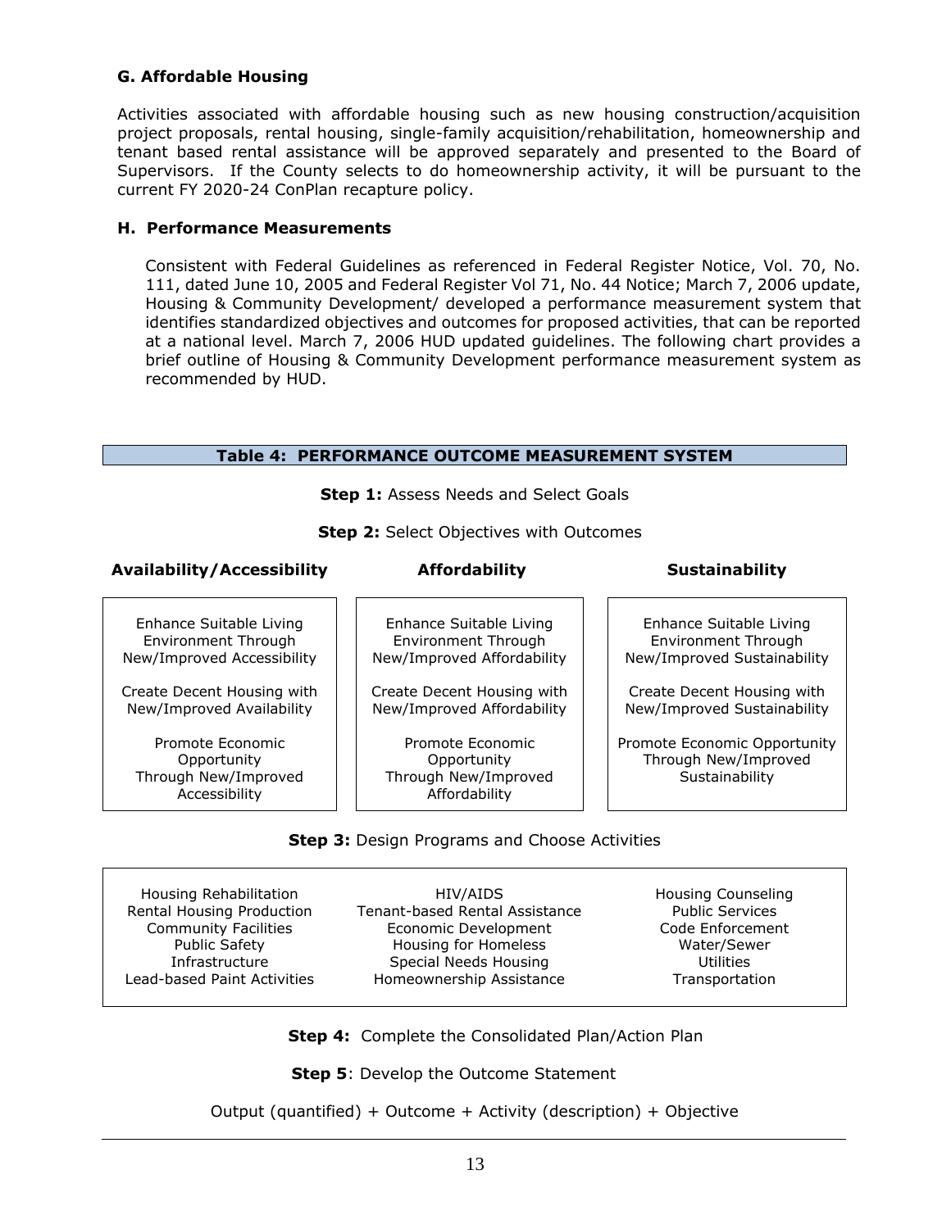# **G. Affordable Housing**

Activities associated with affordable housing such as new housing construction/acquisition project proposals, rental housing, single-family acquisition/rehabilitation, homeownership and tenant based rental assistance will be approved separately and presented to the Board of Supervisors. If the County selects to do homeownership activity, it will be pursuant to the current FY 2020-24 ConPlan recapture policy.

#### **H. Performance Measurements**

Consistent with Federal Guidelines as referenced in Federal Register Notice, Vol. 70, No. 111, dated June 10, 2005 and Federal Register Vol 71, No. 44 Notice; March 7, 2006 update, Housing & Community Development/ developed a performance measurement system that identifies standardized objectives and outcomes for proposed activities, that can be reported at a national level. March 7, 2006 HUD updated guidelines. The following chart provides a brief outline of Housing & Community Development performance measurement system as recommended by HUD.

# **Table 4: PERFORMANCE OUTCOME MEASUREMENT SYSTEM**

**Step 1: Assess Needs and Select Goals** 

**Step 2:** Select Objectives with Outcomes

## **Availability/Accessibility Affordability Sustainability**

#### Enhance Suitable Living Environment Through New/Improved Accessibility

Create Decent Housing with New/Improved Availability

Promote Economic **Opportunity** Through New/Improved Accessibility

Enhance Suitable Living Environment Through New/Improved Affordability

Create Decent Housing with New/Improved Affordability

Promote Economic **Opportunity** Through New/Improved Affordability

Enhance Suitable Living Environment Through New/Improved Sustainability

Create Decent Housing with New/Improved Sustainability

Promote Economic Opportunity Through New/Improved **Sustainability** 

# **Step 3: Design Programs and Choose Activities**

Housing Rehabilitation Rental Housing Production Community Facilities Public Safety Infrastructure Lead-based Paint Activities

HIV/AIDS Tenant-based Rental Assistance Economic Development Housing for Homeless Special Needs Housing Homeownership Assistance

Housing Counseling Public Services Code Enforcement Water/Sewer **Utilities** Transportation

**Step 4:** Complete the Consolidated Plan/Action Plan

**Step 5: Develop the Outcome Statement** 

Output (quantified) + Outcome + Activity (description) + Objective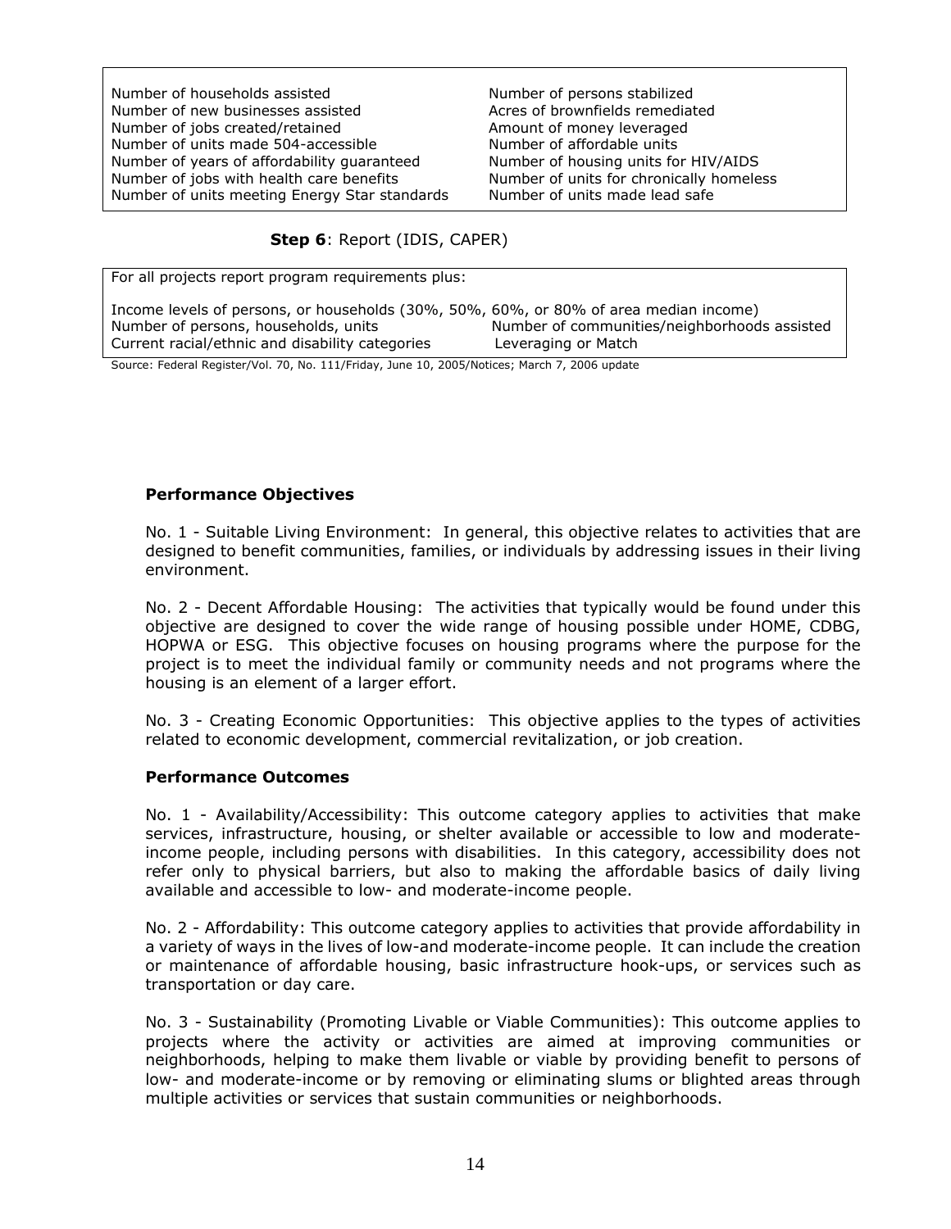Number of households assisted Number of new businesses assisted Number of jobs created/retained Number of units made 504-accessible Number of years of affordability guaranteed Number of jobs with health care benefits Number of units meeting Energy Star standards Number of persons stabilized Acres of brownfields remediated Amount of money leveraged Number of affordable units Number of housing units for HIV/AIDS Number of units for chronically homeless Number of units made lead safe

**Step 6**: Report (IDIS, CAPER)

For all projects report program requirements plus:

| Income levels of persons, or households (30%, 50%, 60%, or 80% of area median income) |                                              |
|---------------------------------------------------------------------------------------|----------------------------------------------|
| Number of persons, households, units                                                  | Number of communities/neighborhoods assisted |
| Current racial/ethnic and disability categories                                       | Leveraging or Match                          |
| $\sim$                                                                                |                                              |

Source: Federal Register/Vol. 70, No. 111/Friday, June 10, 2005/Notices; March 7, 2006 update

## **Performance Objectives**

No. 1 - Suitable Living Environment: In general, this objective relates to activities that are designed to benefit communities, families, or individuals by addressing issues in their living environment.

No. 2 - Decent Affordable Housing: The activities that typically would be found under this objective are designed to cover the wide range of housing possible under HOME, CDBG, HOPWA or ESG. This objective focuses on housing programs where the purpose for the project is to meet the individual family or community needs and not programs where the housing is an element of a larger effort.

No. 3 - Creating Economic Opportunities: This objective applies to the types of activities related to economic development, commercial revitalization, or job creation.

#### **Performance Outcomes**

No. 1 - Availability/Accessibility: This outcome category applies to activities that make services, infrastructure, housing, or shelter available or accessible to low and moderateincome people, including persons with disabilities. In this category, accessibility does not refer only to physical barriers, but also to making the affordable basics of daily living available and accessible to low- and moderate-income people.

No. 2 - Affordability: This outcome category applies to activities that provide affordability in a variety of ways in the lives of low-and moderate-income people. It can include the creation or maintenance of affordable housing, basic infrastructure hook-ups, or services such as transportation or day care.

No. 3 - Sustainability (Promoting Livable or Viable Communities): This outcome applies to projects where the activity or activities are aimed at improving communities or neighborhoods, helping to make them livable or viable by providing benefit to persons of low- and moderate-income or by removing or eliminating slums or blighted areas through multiple activities or services that sustain communities or neighborhoods.